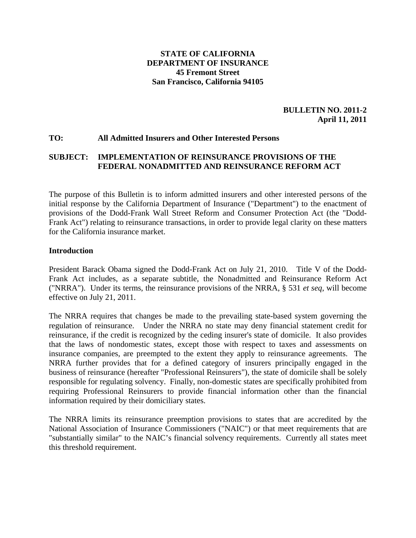#### **STATE OF CALIFORNIA DEPARTMENT OF INSURANCE 45 Fremont Street San Francisco, California 94105**

**BULLETIN NO. 2011-2 April 11, 2011** 

#### **TO: All Admitted Insurers and Other Interested Persons**

#### **SUBJECT: IMPLEMENTATION OF REINSURANCE PROVISIONS OF THE FEDERAL NONADMITTED AND REINSURANCE REFORM ACT**

The purpose of this Bulletin is to inform admitted insurers and other interested persons of the initial response by the California Department of Insurance ("Department") to the enactment of provisions of the Dodd-Frank Wall Street Reform and Consumer Protection Act (the "Dodd-Frank Act") relating to reinsurance transactions, in order to provide legal clarity on these matters for the California insurance market.

#### **Introduction**

President Barack Obama signed the Dodd-Frank Act on July 21, 2010. Title V of the Dodd-Frank Act includes, as a separate subtitle, the Nonadmitted and Reinsurance Reform Act ("NRRA"). Under its terms, the reinsurance provisions of the NRRA, § 531 *et seq*, will become effective on July 21, 2011.

The NRRA requires that changes be made to the prevailing state-based system governing the regulation of reinsurance. Under the NRRA no state may deny financial statement credit for reinsurance, if the credit is recognized by the ceding insurer's state of domicile. It also provides that the laws of nondomestic states, except those with respect to taxes and assessments on insurance companies, are preempted to the extent they apply to reinsurance agreements. The NRRA further provides that for a defined category of insurers principally engaged in the business of reinsurance (hereafter "Professional Reinsurers"), the state of domicile shall be solely responsible for regulating solvency. Finally, non-domestic states are specifically prohibited from requiring Professional Reinsurers to provide financial information other than the financial information required by their domiciliary states.

The NRRA limits its reinsurance preemption provisions to states that are accredited by the National Association of Insurance Commissioners ("NAIC") or that meet requirements that are "substantially similar" to the NAIC's financial solvency requirements. Currently all states meet this threshold requirement.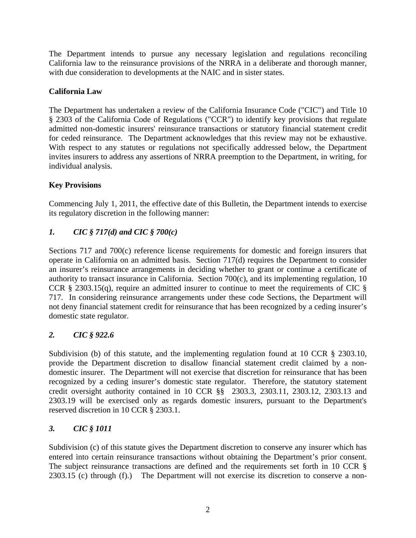The Department intends to pursue any necessary legislation and regulations reconciling California law to the reinsurance provisions of the NRRA in a deliberate and thorough manner, with due consideration to developments at the NAIC and in sister states.

### **California Law**

The Department has undertaken a review of the California Insurance Code ("CIC") and Title 10 § 2303 of the California Code of Regulations ("CCR") to identify key provisions that regulate admitted non-domestic insurers' reinsurance transactions or statutory financial statement credit for ceded reinsurance. The Department acknowledges that this review may not be exhaustive. With respect to any statutes or regulations not specifically addressed below, the Department invites insurers to address any assertions of NRRA preemption to the Department, in writing, for individual analysis.

### **Key Provisions**

Commencing July 1, 2011, the effective date of this Bulletin, the Department intends to exercise its regulatory discretion in the following manner:

## *1. CIC § 717(d) and CIC § 700(c)*

Sections 717 and 700(c) reference license requirements for domestic and foreign insurers that operate in California on an admitted basis. Section 717(d) requires the Department to consider an insurer's reinsurance arrangements in deciding whether to grant or continue a certificate of authority to transact insurance in California. Section 700(c), and its implementing regulation, 10 CCR § 2303.15(q), require an admitted insurer to continue to meet the requirements of CIC § 717. In considering reinsurance arrangements under these code Sections, the Department will not deny financial statement credit for reinsurance that has been recognized by a ceding insurer's domestic state regulator.

### *2. CIC § 922.6*

Subdivision (b) of this statute, and the implementing regulation found at 10 CCR § 2303.10, provide the Department discretion to disallow financial statement credit claimed by a nondomestic insurer. The Department will not exercise that discretion for reinsurance that has been recognized by a ceding insurer's domestic state regulator. Therefore, the statutory statement credit oversight authority contained in 10 CCR §§ 2303.3, 2303.11, 2303.12, 2303.13 and 2303.19 will be exercised only as regards domestic insurers, pursuant to the Department's reserved discretion in 10 CCR § 2303.1.

### *3. CIC § 1011*

Subdivision (c) of this statute gives the Department discretion to conserve any insurer which has entered into certain reinsurance transactions without obtaining the Department's prior consent. The subject reinsurance transactions are defined and the requirements set forth in 10 CCR § 2303.15 (c) through (f).) The Department will not exercise its discretion to conserve a non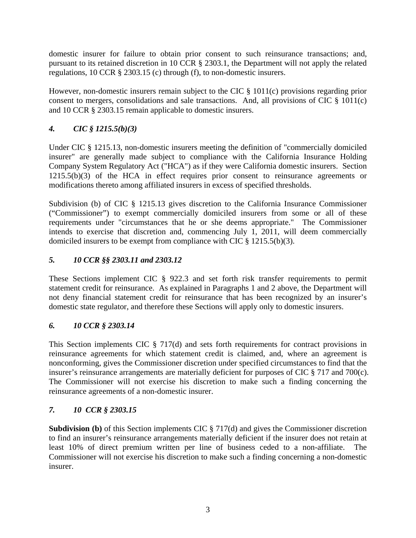domestic insurer for failure to obtain prior consent to such reinsurance transactions; and, pursuant to its retained discretion in 10 CCR § 2303.1, the Department will not apply the related regulations, 10 CCR § 2303.15 (c) through (f), to non-domestic insurers.

However, non-domestic insurers remain subject to the CIC § 1011(c) provisions regarding prior consent to mergers, consolidations and sale transactions. And, all provisions of CIC § 1011(c) and 10 CCR § 2303.15 remain applicable to domestic insurers.

# *4. CIC § 1215.5(b)(3)*

Under CIC § 1215.13, non-domestic insurers meeting the definition of "commercially domiciled insurer" are generally made subject to compliance with the California Insurance Holding Company System Regulatory Act ("HCA") as if they were California domestic insurers. Section 1215.5(b)(3) of the HCA in effect requires prior consent to reinsurance agreements or modifications thereto among affiliated insurers in excess of specified thresholds.

Subdivision (b) of CIC § 1215.13 gives discretion to the California Insurance Commissioner ("Commissioner") to exempt commercially domiciled insurers from some or all of these requirements under "circumstances that he or she deems appropriate." The Commissioner intends to exercise that discretion and, commencing July 1, 2011, will deem commercially domiciled insurers to be exempt from compliance with CIC § 1215.5(b)(3).

# *5. 10 CCR §§ 2303.11 and 2303.12*

These Sections implement CIC § 922.3 and set forth risk transfer requirements to permit statement credit for reinsurance. As explained in Paragraphs 1 and 2 above, the Department will not deny financial statement credit for reinsurance that has been recognized by an insurer's domestic state regulator, and therefore these Sections will apply only to domestic insurers.

## *6. 10 CCR § 2303.14*

This Section implements CIC § 717(d) and sets forth requirements for contract provisions in reinsurance agreements for which statement credit is claimed, and, where an agreement is nonconforming, gives the Commissioner discretion under specified circumstances to find that the insurer's reinsurance arrangements are materially deficient for purposes of CIC § 717 and 700(c). The Commissioner will not exercise his discretion to make such a finding concerning the reinsurance agreements of a non-domestic insurer.

## *7. 10 CCR § 2303.15*

**Subdivision (b)** of this Section implements CIC § 717(d) and gives the Commissioner discretion to find an insurer's reinsurance arrangements materially deficient if the insurer does not retain at least 10% of direct premium written per line of business ceded to a non-affiliate. The Commissioner will not exercise his discretion to make such a finding concerning a non-domestic insurer.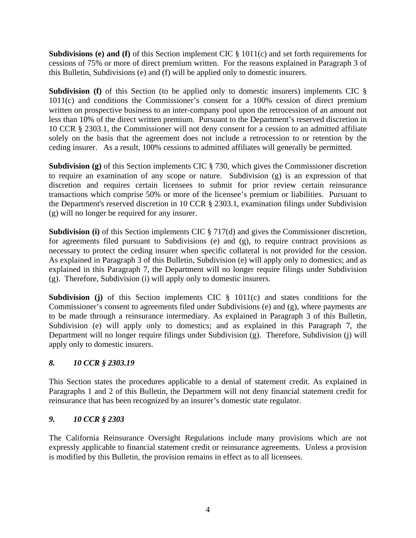**Subdivisions (e) and (f)** of this Section implement CIC § 1011(c) and set forth requirements for cessions of 75% or more of direct premium written. For the reasons explained in Paragraph 3 of this Bulletin, Subdivisions (e) and (f) will be applied only to domestic insurers.

**Subdivision (f)** of this Section (to be applied only to domestic insurers) implements CIC § 1011(c) and conditions the Commissioner's consent for a 100% cession of direct premium written on prospective business to an inter-company pool upon the retrocession of an amount not less than 10% of the direct written premium. Pursuant to the Department's reserved discretion in 10 CCR § 2303.1, the Commissioner will not deny consent for a cession to an admitted affiliate solely on the basis that the agreement does not include a retrocession to or retention by the ceding insurer. As a result, 100% cessions to admitted affiliates will generally be permitted.

**Subdivision (g)** of this Section implements CIC § 730, which gives the Commissioner discretion to require an examination of any scope or nature. Subdivision (g) is an expression of that discretion and requires certain licensees to submit for prior review certain reinsurance transactions which comprise 50% or more of the licensee's premium or liabilities. Pursuant to the Department's reserved discretion in 10 CCR § 2303.1, examination filings under Subdivision (g) will no longer be required for any insurer.

**Subdivision (i)** of this Section implements CIC § 717(d) and gives the Commissioner discretion, for agreements filed pursuant to Subdivisions (e) and (g), to require contract provisions as necessary to protect the ceding insurer when specific collateral is not provided for the cession. As explained in Paragraph 3 of this Bulletin, Subdivision (e) will apply only to domestics; and as explained in this Paragraph 7, the Department will no longer require filings under Subdivision (g). Therefore, Subdivision (i) will apply only to domestic insurers.

**Subdivision (j)** of this Section implements CIC § 1011(c) and states conditions for the Commissioner's consent to agreements filed under Subdivisions (e) and (g), where payments are to be made through a reinsurance intermediary. As explained in Paragraph 3 of this Bulletin, Subdivision (e) will apply only to domestics; and as explained in this Paragraph 7, the Department will no longer require filings under Subdivision (g). Therefore, Subdivision (j) will apply only to domestic insurers.

## *8. 10 CCR § 2303.19*

This Section states the procedures applicable to a denial of statement credit. As explained in Paragraphs 1 and 2 of this Bulletin, the Department will not deny financial statement credit for reinsurance that has been recognized by an insurer's domestic state regulator.

### *9. 10 CCR § 2303*

The California Reinsurance Oversight Regulations include many provisions which are not expressly applicable to financial statement credit or reinsurance agreements. Unless a provision is modified by this Bulletin, the provision remains in effect as to all licensees.